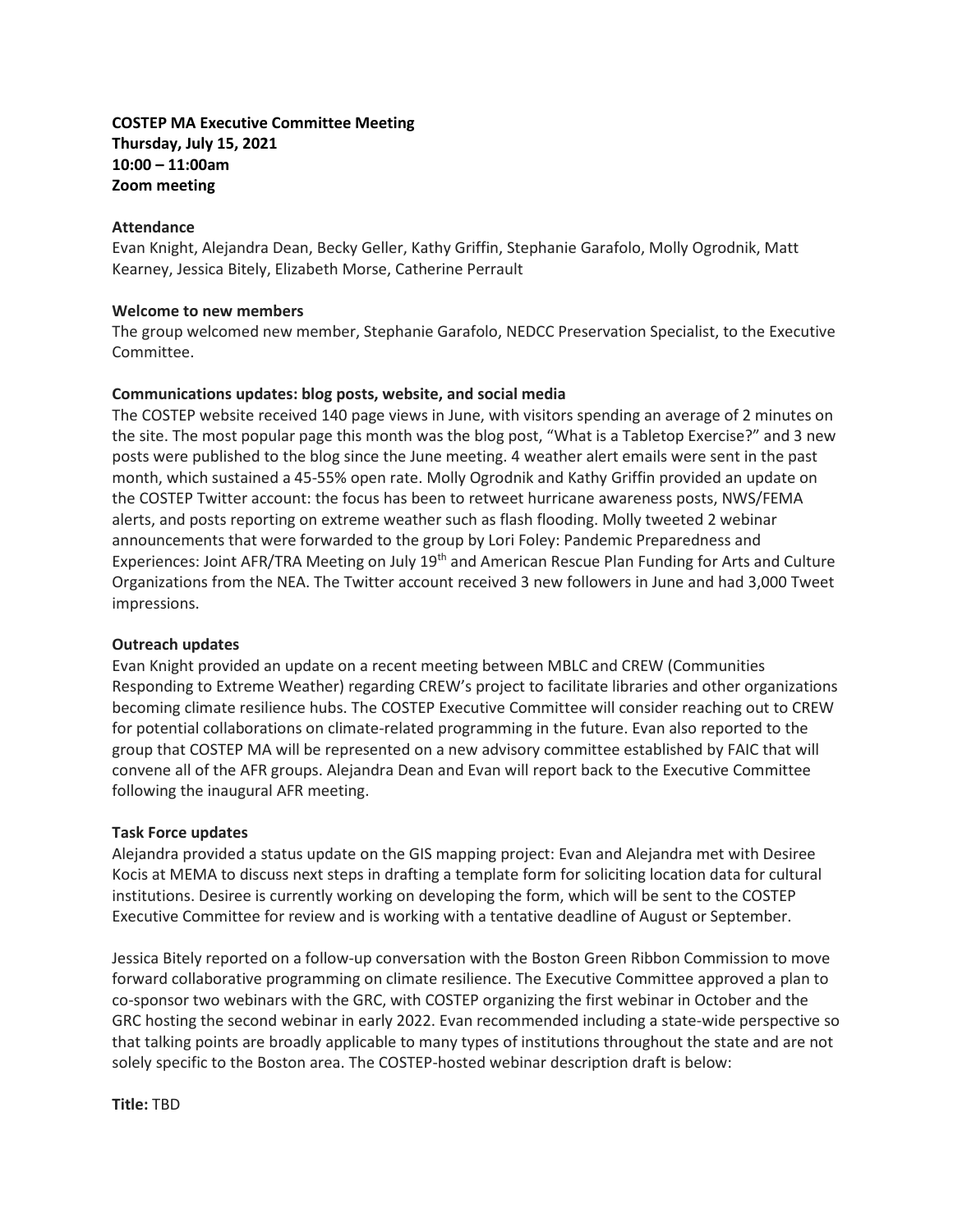# **COSTEP MA Executive Committee Meeting Thursday, July 15, 2021 10:00 – 11:00am Zoom meeting**

### **Attendance**

Evan Knight, Alejandra Dean, Becky Geller, Kathy Griffin, Stephanie Garafolo, Molly Ogrodnik, Matt Kearney, Jessica Bitely, Elizabeth Morse, Catherine Perrault

### **Welcome to new members**

The group welcomed new member, Stephanie Garafolo, NEDCC Preservation Specialist, to the Executive Committee.

# **Communications updates: blog posts, website, and social media**

The COSTEP website received 140 page views in June, with visitors spending an average of 2 minutes on the site. The most popular page this month was the blog post, "What is a Tabletop Exercise?" and 3 new posts were published to the blog since the June meeting. 4 weather alert emails were sent in the past month, which sustained a 45-55% open rate. Molly Ogrodnik and Kathy Griffin provided an update on the COSTEP Twitter account: the focus has been to retweet hurricane awareness posts, NWS/FEMA alerts, and posts reporting on extreme weather such as flash flooding. Molly tweeted 2 webinar announcements that were forwarded to the group by Lori Foley: Pandemic Preparedness and Experiences: Joint AFR/TRA Meeting on July 19<sup>th</sup> and American Rescue Plan Funding for Arts and Culture Organizations from the NEA. The Twitter account received 3 new followers in June and had 3,000 Tweet impressions.

# **Outreach updates**

Evan Knight provided an update on a recent meeting between MBLC and CREW (Communities Responding to Extreme Weather) regarding CREW's project to facilitate libraries and other organizations becoming climate resilience hubs. The COSTEP Executive Committee will consider reaching out to CREW for potential collaborations on climate-related programming in the future. Evan also reported to the group that COSTEP MA will be represented on a new advisory committee established by FAIC that will convene all of the AFR groups. Alejandra Dean and Evan will report back to the Executive Committee following the inaugural AFR meeting.

#### **Task Force updates**

Alejandra provided a status update on the GIS mapping project: Evan and Alejandra met with Desiree Kocis at MEMA to discuss next steps in drafting a template form for soliciting location data for cultural institutions. Desiree is currently working on developing the form, which will be sent to the COSTEP Executive Committee for review and is working with a tentative deadline of August or September.

Jessica Bitely reported on a follow-up conversation with the Boston Green Ribbon Commission to move forward collaborative programming on climate resilience. The Executive Committee approved a plan to co-sponsor two webinars with the GRC, with COSTEP organizing the first webinar in October and the GRC hosting the second webinar in early 2022. Evan recommended including a state-wide perspective so that talking points are broadly applicable to many types of institutions throughout the state and are not solely specific to the Boston area. The COSTEP-hosted webinar description draft is below:

**Title:** TBD